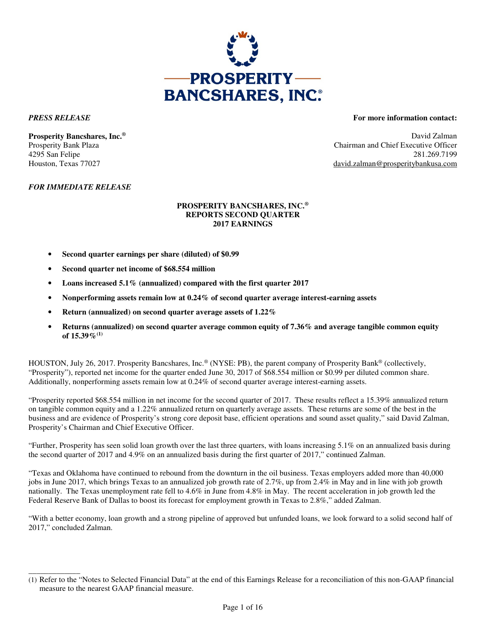

\_\_\_\_\_\_\_\_\_\_\_\_\_

### *PRESS RELEASE* **For more information contact:**

**Prosperity Bancshares, Inc.**<br>**Prosperity Bank Plaza**<br>**Prosperity Bank Plaza**<br>**Chairman and Chief Executive Officer** Chairman and Chief Executive Officer 4295 San Felipe 281.269.7199 Houston, Texas 77027 david.zalman@prosperitybankusa.com

### *FOR IMMEDIATE RELEASE*

### **PROSPERITY BANCSHARES, INC.® REPORTS SECOND QUARTER 2017 EARNINGS**

- **Second quarter earnings per share (diluted) of \$0.99**
- **Second quarter net income of \$68.554 million**
- **Loans increased 5.1% (annualized) compared with the first quarter 2017**
- **Nonperforming assets remain low at 0.24% of second quarter average interest-earning assets**
- **Return (annualized) on second quarter average assets of 1.22%**
- **Returns (annualized) on second quarter average common equity of 7.36% and average tangible common equity of 15.39%(1)**

HOUSTON, July 26, 2017. Prosperity Bancshares, Inc.® (NYSE: PB), the parent company of Prosperity Bank® (collectively, "Prosperity"), reported net income for the quarter ended June 30, 2017 of \$68.554 million or \$0.99 per diluted common share. Additionally, nonperforming assets remain low at 0.24% of second quarter average interest-earning assets.

"Prosperity reported \$68.554 million in net income for the second quarter of 2017. These results reflect a 15.39% annualized return on tangible common equity and a 1.22% annualized return on quarterly average assets. These returns are some of the best in the business and are evidence of Prosperity's strong core deposit base, efficient operations and sound asset quality," said David Zalman, Prosperity's Chairman and Chief Executive Officer.

"Further, Prosperity has seen solid loan growth over the last three quarters, with loans increasing 5.1% on an annualized basis during the second quarter of 2017 and 4.9% on an annualized basis during the first quarter of 2017," continued Zalman.

"Texas and Oklahoma have continued to rebound from the downturn in the oil business. Texas employers added more than 40,000 jobs in June 2017, which brings Texas to an annualized job growth rate of 2.7%, up from 2.4% in May and in line with job growth nationally. The Texas unemployment rate fell to 4.6% in June from 4.8% in May. The recent acceleration in job growth led the Federal Reserve Bank of Dallas to boost its forecast for employment growth in Texas to 2.8%," added Zalman.

"With a better economy, loan growth and a strong pipeline of approved but unfunded loans, we look forward to a solid second half of 2017," concluded Zalman.

<sup>(1)</sup> Refer to the "Notes to Selected Financial Data" at the end of this Earnings Release for a reconciliation of this non-GAAP financial measure to the nearest GAAP financial measure.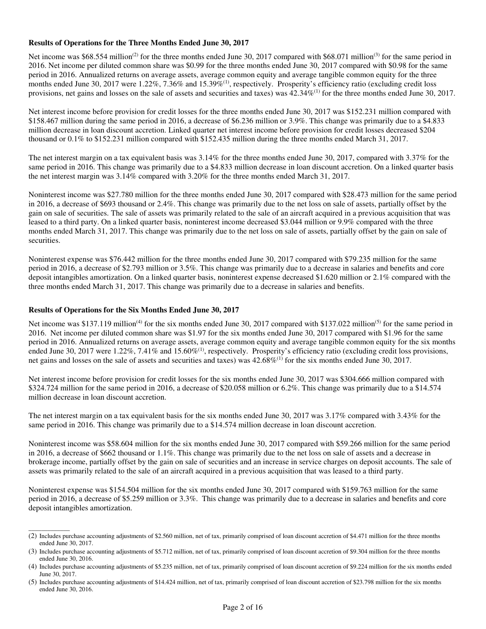### **Results of Operations for the Three Months Ended June 30, 2017**

Net income was \$68.554 million<sup>(2)</sup> for the three months ended June 30, 2017 compared with \$68.071 million<sup>(3)</sup> for the same period in 2016. Net income per diluted common share was \$0.99 for the three months ended June 30, 2017 compared with \$0.98 for the same period in 2016. Annualized returns on average assets, average common equity and average tangible common equity for the three months ended June 30, 2017 were 1.22%, 7.36% and 15.39%<sup>(1)</sup>, respectively. Prosperity's efficiency ratio (excluding credit loss provisions, net gains and losses on the sale of assets and securities and taxes) was  $42.34\%$ <sup>(1)</sup> for the three months ended June 30, 2017.

Net interest income before provision for credit losses for the three months ended June 30, 2017 was \$152.231 million compared with \$158.467 million during the same period in 2016, a decrease of \$6.236 million or 3.9%. This change was primarily due to a \$4.833 million decrease in loan discount accretion. Linked quarter net interest income before provision for credit losses decreased \$204 thousand or 0.1% to \$152.231 million compared with \$152.435 million during the three months ended March 31, 2017.

The net interest margin on a tax equivalent basis was 3.14% for the three months ended June 30, 2017, compared with 3.37% for the same period in 2016. This change was primarily due to a \$4.833 million decrease in loan discount accretion. On a linked quarter basis the net interest margin was 3.14% compared with 3.20% for the three months ended March 31, 2017.

Noninterest income was \$27.780 million for the three months ended June 30, 2017 compared with \$28.473 million for the same period in 2016, a decrease of \$693 thousand or 2.4%. This change was primarily due to the net loss on sale of assets, partially offset by the gain on sale of securities. The sale of assets was primarily related to the sale of an aircraft acquired in a previous acquisition that was leased to a third party. On a linked quarter basis, noninterest income decreased \$3.044 million or 9.9% compared with the three months ended March 31, 2017. This change was primarily due to the net loss on sale of assets, partially offset by the gain on sale of securities.

Noninterest expense was \$76.442 million for the three months ended June 30, 2017 compared with \$79.235 million for the same period in 2016, a decrease of \$2.793 million or 3.5%. This change was primarily due to a decrease in salaries and benefits and core deposit intangibles amortization. On a linked quarter basis, noninterest expense decreased \$1.620 million or 2.1% compared with the three months ended March 31, 2017. This change was primarily due to a decrease in salaries and benefits.

## **Results of Operations for the Six Months Ended June 30, 2017**

\_\_\_\_\_\_\_\_\_\_\_\_\_

Net income was \$137.119 million<sup>(4)</sup> for the six months ended June 30, 2017 compared with \$137.022 million<sup>(5)</sup> for the same period in 2016. Net income per diluted common share was \$1.97 for the six months ended June 30, 2017 compared with \$1.96 for the same period in 2016. Annualized returns on average assets, average common equity and average tangible common equity for the six months ended June 30, 2017 were 1.22%, 7.41% and 15.60%<sup>(1)</sup>, respectively. Prosperity's efficiency ratio (excluding credit loss provisions, net gains and losses on the sale of assets and securities and taxes) was  $42.68\%$ <sup>(1)</sup> for the six months ended June 30, 2017.

Net interest income before provision for credit losses for the six months ended June 30, 2017 was \$304.666 million compared with \$324.724 million for the same period in 2016, a decrease of \$20.058 million or 6.2%. This change was primarily due to a \$14.574 million decrease in loan discount accretion.

The net interest margin on a tax equivalent basis for the six months ended June 30, 2017 was 3.17% compared with 3.43% for the same period in 2016. This change was primarily due to a \$14.574 million decrease in loan discount accretion.

Noninterest income was \$58.604 million for the six months ended June 30, 2017 compared with \$59.266 million for the same period in 2016, a decrease of \$662 thousand or 1.1%. This change was primarily due to the net loss on sale of assets and a decrease in brokerage income, partially offset by the gain on sale of securities and an increase in service charges on deposit accounts. The sale of assets was primarily related to the sale of an aircraft acquired in a previous acquisition that was leased to a third party.

Noninterest expense was \$154.504 million for the six months ended June 30, 2017 compared with \$159.763 million for the same period in 2016, a decrease of \$5.259 million or 3.3%. This change was primarily due to a decrease in salaries and benefits and core deposit intangibles amortization.

<sup>(2)</sup> Includes purchase accounting adjustments of \$2.560 million, net of tax, primarily comprised of loan discount accretion of \$4.471 million for the three months ended June 30, 2017.

<sup>(3)</sup> Includes purchase accounting adjustments of \$5.712 million, net of tax, primarily comprised of loan discount accretion of \$9.304 million for the three months ended June 30, 2016.

<sup>(4)</sup> Includes purchase accounting adjustments of \$5.235 million, net of tax, primarily comprised of loan discount accretion of \$9.224 million for the six months ended June 30, 2017.

<sup>(5)</sup> Includes purchase accounting adjustments of \$14.424 million, net of tax, primarily comprised of loan discount accretion of \$23.798 million for the six months ended June 30, 2016.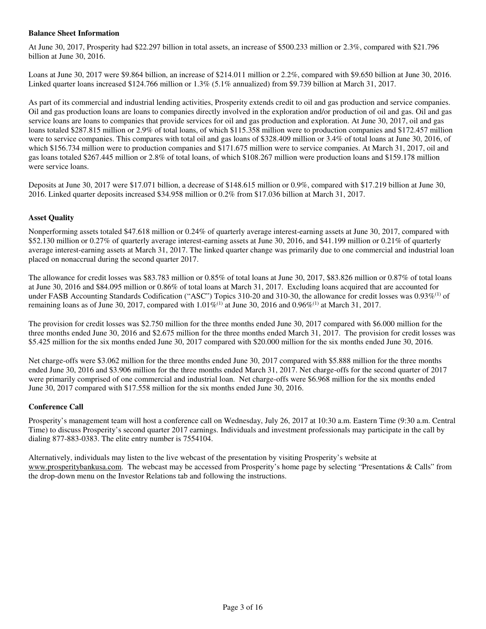### **Balance Sheet Information**

At June 30, 2017, Prosperity had \$22.297 billion in total assets, an increase of \$500.233 million or 2.3%, compared with \$21.796 billion at June 30, 2016.

Loans at June 30, 2017 were \$9.864 billion, an increase of \$214.011 million or 2.2%, compared with \$9.650 billion at June 30, 2016. Linked quarter loans increased \$124.766 million or 1.3% (5.1% annualized) from \$9.739 billion at March 31, 2017.

As part of its commercial and industrial lending activities, Prosperity extends credit to oil and gas production and service companies. Oil and gas production loans are loans to companies directly involved in the exploration and/or production of oil and gas. Oil and gas service loans are loans to companies that provide services for oil and gas production and exploration. At June 30, 2017, oil and gas loans totaled \$287.815 million or 2.9% of total loans, of which \$115.358 million were to production companies and \$172.457 million were to service companies. This compares with total oil and gas loans of \$328.409 million or 3.4% of total loans at June 30, 2016, of which \$156.734 million were to production companies and \$171.675 million were to service companies. At March 31, 2017, oil and gas loans totaled \$267.445 million or 2.8% of total loans, of which \$108.267 million were production loans and \$159.178 million were service loans.

Deposits at June 30, 2017 were \$17.071 billion, a decrease of \$148.615 million or 0.9%, compared with \$17.219 billion at June 30, 2016. Linked quarter deposits increased \$34.958 million or 0.2% from \$17.036 billion at March 31, 2017.

### **Asset Quality**

Nonperforming assets totaled \$47.618 million or 0.24% of quarterly average interest-earning assets at June 30, 2017, compared with \$52.130 million or 0.27% of quarterly average interest-earning assets at June 30, 2016, and \$41.199 million or 0.21% of quarterly average interest-earning assets at March 31, 2017. The linked quarter change was primarily due to one commercial and industrial loan placed on nonaccrual during the second quarter 2017.

The allowance for credit losses was \$83.783 million or 0.85% of total loans at June 30, 2017, \$83.826 million or 0.87% of total loans at June 30, 2016 and \$84.095 million or 0.86% of total loans at March 31, 2017. Excluding loans acquired that are accounted for under FASB Accounting Standards Codification ("ASC") Topics 310-20 and 310-30, the allowance for credit losses was 0.93%<sup>(1)</sup> of remaining loans as of June 30, 2017, compared with  $1.01\%$ <sup>(1)</sup> at June 30, 2016 and 0.96%<sup>(1)</sup> at March 31, 2017.

The provision for credit losses was \$2.750 million for the three months ended June 30, 2017 compared with \$6.000 million for the three months ended June 30, 2016 and \$2.675 million for the three months ended March 31, 2017. The provision for credit losses was \$5.425 million for the six months ended June 30, 2017 compared with \$20.000 million for the six months ended June 30, 2016.

Net charge-offs were \$3.062 million for the three months ended June 30, 2017 compared with \$5.888 million for the three months ended June 30, 2016 and \$3.906 million for the three months ended March 31, 2017. Net charge-offs for the second quarter of 2017 were primarily comprised of one commercial and industrial loan. Net charge-offs were \$6.968 million for the six months ended June 30, 2017 compared with \$17.558 million for the six months ended June 30, 2016.

### **Conference Call**

Prosperity's management team will host a conference call on Wednesday, July 26, 2017 at 10:30 a.m. Eastern Time (9:30 a.m. Central Time) to discuss Prosperity's second quarter 2017 earnings. Individuals and investment professionals may participate in the call by dialing 877-883-0383. The elite entry number is 7554104.

Alternatively, individuals may listen to the live webcast of the presentation by visiting Prosperity's website at www.prosperitybankusa.com. The webcast may be accessed from Prosperity's home page by selecting "Presentations & Calls" from the drop-down menu on the Investor Relations tab and following the instructions.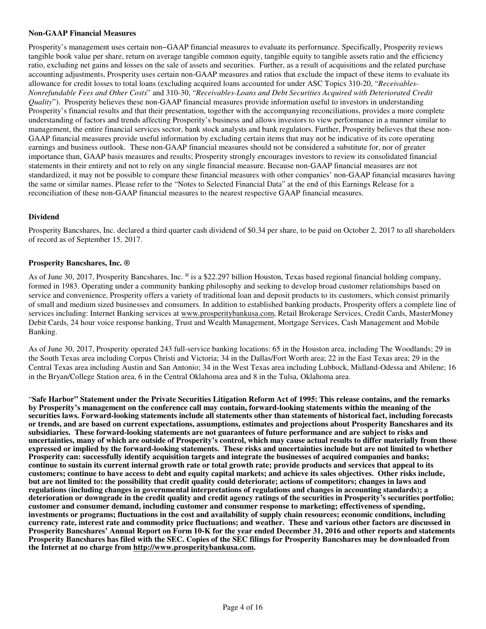### **Non-GAAP Financial Measures**

Prosperity's management uses certain non−GAAP financial measures to evaluate its performance. Specifically, Prosperity reviews tangible book value per share, return on average tangible common equity, tangible equity to tangible assets ratio and the efficiency ratio, excluding net gains and losses on the sale of assets and securities. Further, as a result of acquisitions and the related purchase accounting adjustments, Prosperity uses certain non-GAAP measures and ratios that exclude the impact of these items to evaluate its allowance for credit losses to total loans (excluding acquired loans accounted for under ASC Topics 310-20, "*Receivables-Nonrefundable Fees and Other Costs*" and 310-30, "*Receivables-Loans and Debt Securities Acquired with Deteriorated Credit Quality*"). Prosperity believes these non-GAAP financial measures provide information useful to investors in understanding Prosperity's financial results and that their presentation, together with the accompanying reconciliations, provides a more complete understanding of factors and trends affecting Prosperity's business and allows investors to view performance in a manner similar to management, the entire financial services sector, bank stock analysts and bank regulators. Further, Prosperity believes that these non-GAAP financial measures provide useful information by excluding certain items that may not be indicative of its core operating earnings and business outlook. These non-GAAP financial measures should not be considered a substitute for, nor of greater importance than, GAAP basis measures and results; Prosperity strongly encourages investors to review its consolidated financial statements in their entirety and not to rely on any single financial measure. Because non-GAAP financial measures are not standardized, it may not be possible to compare these financial measures with other companies' non-GAAP financial measures having the same or similar names. Please refer to the "Notes to Selected Financial Data" at the end of this Earnings Release for a reconciliation of these non-GAAP financial measures to the nearest respective GAAP financial measures.

## **Dividend**

Prosperity Bancshares, Inc. declared a third quarter cash dividend of \$0.34 per share, to be paid on October 2, 2017 to all shareholders of record as of September 15, 2017.

### **Prosperity Bancshares, Inc. ®**

As of June 30, 2017, Prosperity Bancshares, Inc. ® is a \$22.297 billion Houston, Texas based regional financial holding company, formed in 1983. Operating under a community banking philosophy and seeking to develop broad customer relationships based on service and convenience, Prosperity offers a variety of traditional loan and deposit products to its customers, which consist primarily of small and medium sized businesses and consumers. In addition to established banking products, Prosperity offers a complete line of services including: Internet Banking services at www.prosperitybankusa.com, Retail Brokerage Services, Credit Cards, MasterMoney Debit Cards, 24 hour voice response banking, Trust and Wealth Management, Mortgage Services, Cash Management and Mobile Banking.

As of June 30, 2017, Prosperity operated 243 full-service banking locations: 65 in the Houston area, including The Woodlands; 29 in the South Texas area including Corpus Christi and Victoria; 34 in the Dallas/Fort Worth area; 22 in the East Texas area; 29 in the Central Texas area including Austin and San Antonio; 34 in the West Texas area including Lubbock, Midland-Odessa and Abilene; 16 in the Bryan/College Station area, 6 in the Central Oklahoma area and 8 in the Tulsa, Oklahoma area.

"**Safe Harbor" Statement under the Private Securities Litigation Reform Act of 1995: This release contains, and the remarks by Prosperity's management on the conference call may contain, forward-looking statements within the meaning of the securities laws. Forward-looking statements include all statements other than statements of historical fact, including forecasts or trends, and are based on current expectations, assumptions, estimates and projections about Prosperity Bancshares and its subsidiaries. These forward-looking statements are not guarantees of future performance and are subject to risks and uncertainties, many of which are outside of Prosperity's control, which may cause actual results to differ materially from those expressed or implied by the forward-looking statements. These risks and uncertainties include but are not limited to whether Prosperity can: successfully identify acquisition targets and integrate the businesses of acquired companies and banks; continue to sustain its current internal growth rate or total growth rate; provide products and services that appeal to its customers; continue to have access to debt and equity capital markets; and achieve its sales objectives. Other risks include, but are not limited to: the possibility that credit quality could deteriorate; actions of competitors; changes in laws and regulations (including changes in governmental interpretations of regulations and changes in accounting standards); a deterioration or downgrade in the credit quality and credit agency ratings of the securities in Prosperity's securities portfolio; customer and consumer demand, including customer and consumer response to marketing; effectiveness of spending, investments or programs; fluctuations in the cost and availability of supply chain resources; economic conditions, including currency rate, interest rate and commodity price fluctuations; and weather. These and various other factors are discussed in Prosperity Bancshares' Annual Report on Form 10-K for the year ended December 31, 2016 and other reports and statements Prosperity Bancshares has filed with the SEC. Copies of the SEC filings for Prosperity Bancshares may be downloaded from the Internet at no charge from http://www.prosperitybankusa.com.**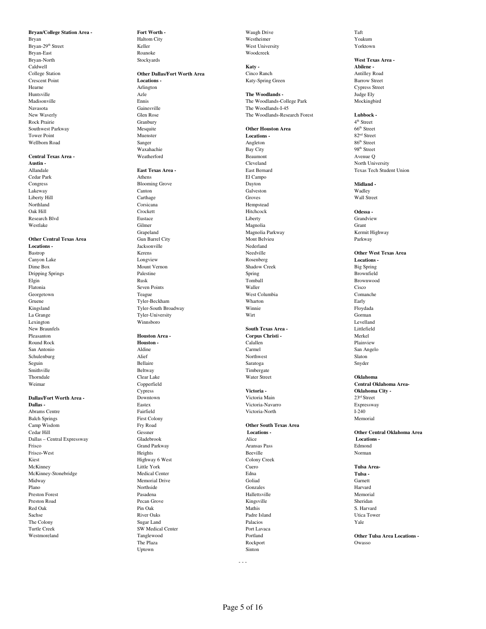Bryan Nestheimer North City Nestheimer Westheimer Nestheimer Nestheimer Nestheimer Nestheimer Nestheimer Nestheimer Bryan-29<sup>th</sup> Street Yorktown Neller Keller West University West University Yorktown Bryan-East Woodcreek Roanoke Roanoke Woodcreek Roanoke Woodcreek Bryan-North **West Texas Area -** Stockyards **Stockyards** Stockyards **West Texas Area - West Texas Area -**  $\blacksquare$ Caldwell **Katy - Abilene -**  College Station **College Station Other Dallas/Fort Worth Area Cinco Ranch Antilley Road** Crescent Point **College Stations Cinco Ranch Antilley Road** Crescent Point **Barrow Street** Crescent Point **Locations - Security Crescent Point Barrow Street** Barrow Street Hearne Cypress Street Arlington and Arlington Cypress Street Archives and Archives and Archives and Archives and Archives and Archives and Archives and Archives and Archives and Archives and Archives and Archives and Archi Navasota Gainesville The Woodlands-I-45 New Waverly **Clen Rose** Glen Rose The Woodlands-Research Forest **Lubbock - Rock Prairie** 4<sup>th</sup> Street **Granbury** Rock Prairie **Acceleration Community** Granbury **4** and the control of the control of the control of the control of the control of the control of the control of the control of the control of the control of the control of th Southwest Parkway **Mesquite** Mesquite **Other Houston Area** 66<sup>th</sup> Street<br>
Tower Point **Multiple Street**<br> **Conserved Area Conserved Area Conserved Area Conserved Area Conserved Area Conserved Area Conserved Area** Tower Point **CONFIDENTIAL SET ASSESS** TOWER TOWER A SET A SET AND MUCHAEL SET A SET A SET AND MUCHAEL SET A SET A SET AND MUCHAEL SET A SET AND MUCHAEL SET A SET AND MUCHAEL SET A SET A SET AND MUCHAEL SET A SET AND MUCHAE Wellborn Road and Sanger Sethern Sethern Sethern Sethern Sethern Sethern Sethern Sethern Sethern Sethern Sethern Sethern Sethern Sethern Sethern Sethern Sethern Sethern Sethern Sethern Sethern Sethern Sethern Sethern Sethe

# **Austin - Research Australian Cleveland** Cleveland North University

New Braunfels **South Texas Area -** The United States of Texas Area - **11** South Texas Area - **12** 2012 11 22 22 23 24 25 26 26 26 27 27 28 27 28 27 28 27 28 27 28 27 28 27 28 27 28 27 28 27 28 27 28 27 28 27 28 27 28 27 28

### **Dallas/Fort Worth Area - Downtown Downtown Victoria Main** 23

**Dallas - Expressway Express - Express - Express - Express - Express - Express - Express - Express - Express - Express - Express - Express - Express - Express - Express - Express - Express - Express - Express - Express - E** Abrams Centre Fairfield Victoria-North I-240 Balch Springs **First Colony** First Colony **First Colony** Alexander Control of the Memorial Memorial Camp Wisdom Fry Road **Other South Texas Area**  Dallas – Central Expressway Gladebrook Alice **Locations -**  Frisco Grand Parkway Aransas Pass Edmond Frisco-West Heights Beeville Norman Kiest Highway 6 West Colony Creek McKinney Little York Cuero **Tulsa Area-**McKinney-Stonebridge Medical Center Edna **Tulsa -**  Midway Memorial Drive Goliad Garnett Plano **Northside Server Accord Accord Accord Accord Accord Accord Accord Accord Accord Accord Accord Accord Accord Marvard Gonzales Harvard Accord Accord Accord Accord Accord Accord Accord Accord Accord Accord Accord Accor** Preston Forest **Preston Forest** Pasadena **Memorial** Pasadena **Memorial** Hallettsville Memorial Preston Road Sheridan Pecan Grove Register Sheridan Register Sheridan Register Sheridan Pecan Grove Sheridan Red Oak S. Harvard S. Harvard Pin Oak Pin Oak Mathis Mathis S. Harvard S. Harvard Sachse **River Oaks** River Oaks **Padre Island** Padre Island Utica Tower The Colony **Sugar Land** Palacios Palacios Palacios Palacios Palacios Palacios Palacios Palacios Palacios Palacios Palacios Palacios Palacios Palacios Palacios Palacios Palacios Palacios Palacios Palacios Palacios Palacios Turtle Creek SW Medical Center Port Lavaca

**Bryan/College Station Area -** Fort Worth - Taft Worth - Waugh Drive Taft - Taft - Taft - Taft - Taft - Taft - Taft - Taft - Taft - Taft - Taft - Taft - Taft - Taft - Taft - Taft - Taft - Taft - Taft - Taft - Taft - Taft -

Cedar Park Athens El Campo Congress **Blooming Grove Blooming Grove** Dayton **Dayton Midland - Midland -**Lakeway Canton Galveston Wadley Liberty Hill Carthage Groves Wall Street Northland Hempstead Corsicana Corsicana Hempstead Hempstead Hempstead Structure and Hempstead Hempstead Hempstead Oak Hill **Odessa - Crockett** Crockett **Hitchcock Consumersion Crockett** Crockett Crockett Bitchcock **Odessa -**  $\alpha$ Research Blvd Grandview Eustace Eustace Communications (Eustace Liberty Communications Grandview Grandview Communications of the Communications of the Communications of the Communications of the Communications of the Commu Westlake Gilmer Gilmer Gilmer Magnolia Grant Grant Grant Grant Grapeland Magnolia Parkway Magnolia Parkway (Kermit Highway Gun Barrel City (Kermit Highway Mont Belvieu **Other Central Texas Area** Gun Barrel City Mont Belvieu Parkway **Locations - Jacksonville Conserverse Interventional Sections Algebra 2016 Nederland** Bastrop Kerens Needville **Other West Texas Area**  Canyon Lake Longview Rosenberg **Locations -**  Dime Box Big Spring Nount Vernon Shadow Creek Shadow Creek Big Spring Dripping Springs **Palestine** Palestine **Palestine** Spring Spring Brownfield Elgin **Rusk Rusk Tomball** Brownwood Brownwood Brownwood Brownwood Brownwood Brownwood Flatonia **Seven Points** Seven Points **Waller** Waller Cisco Georgetown Teague West Columbia Comanche Gruene **Tyler-Beckham** Tyler-Beckham Wharton **Wharton** Early Kingsland Tyler-South Broadway Winnie Floydada La Grange School and Tyler-University School and Wirt Wirt Gorman Gorman Gorman (Gorman Gorman Gorman Corman G Lexington Winnsboro Levelland

Round Rock **Houston -** Calallen Plainview San Antonio San Angelo (San Angelo Aldine Carmel Carmel San Angelo San Angelo San Angelo San Angelo San Angelo Schulenburg Slaton Alief Northwest Slaton Slaton Slaton Slaton Northwest Slaton Slaton Slaton Slaton Slaton Slaton Slaton Slaton Slaton Slaton Slaton Slaton Slaton Slaton Slaton Slaton Slaton Slaton Slaton Slaton Slaton Sl Seguin Bellaire Bellaire Saratoga Saratoga Saratoga Shyder Smithville **Beltway** Beltway **Timbergate Beltway** Timbergate Thorndale Clear Lake Water Street **Oklahoma Cypress Cypress Cypress Cypress Cypress Cypress Cypress Cypress Cypress Cypress Cypress Cypress Cypress Cypress Cypress Cypress Cypress Cypress Cypress Cypress Cypress Cypress Cypress Cypress Cypress Cypress Cypress Cypre** The Plaza and the Plaza Rockport Rockport Covasso Uptown Sinton

Huntsville Azle **The Woodlands -** Judge Ely The Woodlands-College Park

Waxahachie Bay City Bay City 98<sup>th</sup> Street **Central Texas Area - Central Texas Area - Weatherford Beaumont** Beaumont **Avenue Q** Allandale **East Texas Area -** East Bernard East Bernard Texas Tech Student Union<br>
Cedar Park<br>
Texas Tech Student Union

Pleasanton **Houston Area - Corpus Christi -** Merkel

 $4<sup>th</sup> Street$ <br>66<sup>th</sup> Street

Weimar Copperfield Central Oklahoma Area-<br>
Cypress **Cypress** Cypress **Cypress Cypress Cypress Cypress Cypress Cypress Cypress Cypress Cypress Cypress Cypress Cypress Cypress Cypress Cypress Cy** 

Gessner **Locations - Central Oklahoma Area Other Central Oklahoma Area Clare Contral Oklahoma Area Clare Clare** 

Westmoreland Tanglewood Portland **Other Tulsa Area Locations -** 

- - -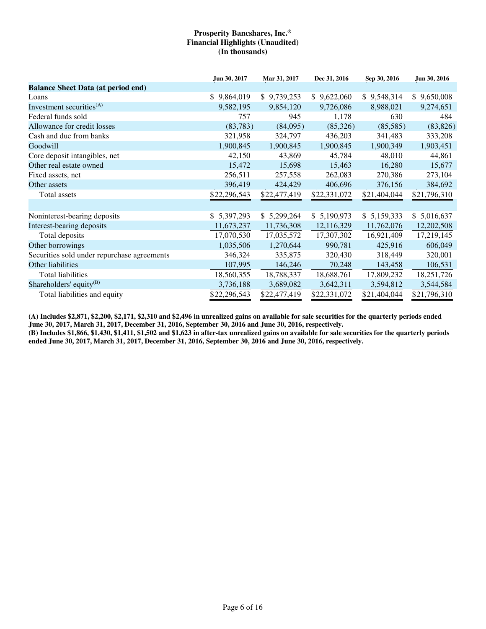|                                             | Jun 30, 2017 | Mar 31, 2017 | Dec 31, 2016 | Sep 30, 2016 | Jun 30, 2016    |
|---------------------------------------------|--------------|--------------|--------------|--------------|-----------------|
| <b>Balance Sheet Data (at period end)</b>   |              |              |              |              |                 |
| Loans                                       | \$9,864,019  | \$9,739,253  | \$9,622,060  | \$9,548,314  | 9,650,008<br>S. |
| Investment securities $(A)$                 | 9,582,195    | 9,854,120    | 9,726,086    | 8,988,021    | 9,274,651       |
| Federal funds sold                          | 757          | 945          | 1,178        | 630          | 484             |
| Allowance for credit losses                 | (83, 783)    | (84,095)     | (85,326)     | (85,585)     | (83, 826)       |
| Cash and due from banks                     | 321,958      | 324,797      | 436,203      | 341,483      | 333,208         |
| Goodwill                                    | 1,900,845    | 1,900,845    | 1,900,845    | 1,900,349    | 1,903,451       |
| Core deposit intangibles, net               | 42,150       | 43,869       | 45,784       | 48,010       | 44,861          |
| Other real estate owned                     | 15,472       | 15,698       | 15,463       | 16,280       | 15,677          |
| Fixed assets, net                           | 256,511      | 257,558      | 262,083      | 270,386      | 273,104         |
| Other assets                                | 396,419      | 424,429      | 406,696      | 376,156      | 384,692         |
| Total assets                                | \$22,296,543 | \$22,477,419 | \$22,331,072 | \$21,404,044 | \$21,796,310    |
|                                             |              |              |              |              |                 |
| Noninterest-bearing deposits                | \$5,397,293  | \$5,299,264  | \$5,190,973  | \$5,159,333  | \$5,016,637     |
| Interest-bearing deposits                   | 11,673,237   | 11,736,308   | 12,116,329   | 11,762,076   | 12,202,508      |
| Total deposits                              | 17,070,530   | 17,035,572   | 17,307,302   | 16,921,409   | 17,219,145      |
| Other borrowings                            | 1,035,506    | 1,270,644    | 990,781      | 425,916      | 606,049         |
| Securities sold under repurchase agreements | 346,324      | 335,875      | 320,430      | 318,449      | 320,001         |
| Other liabilities                           | 107,995      | 146,246      | 70,248       | 143,458      | 106,531         |
| Total liabilities                           | 18,560,355   | 18,788,337   | 18,688,761   | 17,809,232   | 18,251,726      |
| Shareholders' equity <sup>(B)</sup>         | 3,736,188    | 3,689,082    | 3,642,311    | 3,594,812    | 3,544,584       |
| Total liabilities and equity                | \$22,296,543 | \$22,477,419 | \$22,331,072 | \$21,404,044 | \$21,796,310    |

**(A) Includes \$2,871, \$2,200, \$2,171, \$2,310 and \$2,496 in unrealized gains on available for sale securities for the quarterly periods ended June 30, 2017, March 31, 2017, December 31, 2016, September 30, 2016 and June 30, 2016, respectively.** 

**(B) Includes \$1,866, \$1,430, \$1,411, \$1,502 and \$1,623 in after-tax unrealized gains on available for sale securities for the quarterly periods ended June 30, 2017, March 31, 2017, December 31, 2016, September 30, 2016 and June 30, 2016, respectively.**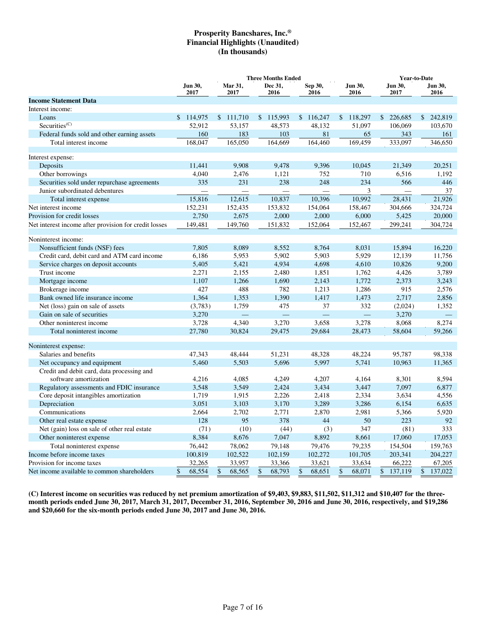|                                                       | <b>Three Months Ended</b> |                 |    |                 |    |                 |                 | <b>Year-to-Date</b> |                 |             |                 |              |                 |
|-------------------------------------------------------|---------------------------|-----------------|----|-----------------|----|-----------------|-----------------|---------------------|-----------------|-------------|-----------------|--------------|-----------------|
|                                                       |                           | Jun 30,<br>2017 |    | Mar 31,<br>2017 |    | Dec 31,<br>2016 | Sep 30,<br>2016 |                     | Jun 30,<br>2016 |             | Jun 30,<br>2017 |              | Jun 30,<br>2016 |
| <b>Income Statement Data</b>                          |                           |                 |    |                 |    |                 |                 |                     |                 |             |                 |              |                 |
| Interest income:                                      |                           |                 |    |                 |    |                 |                 |                     |                 |             |                 |              |                 |
| Loans                                                 | \$                        | 114,975         |    | \$111,710       |    | \$115,993       | \$116,247       |                     | \$118,297       |             | \$226,685       |              | \$242,819       |
| $Securities^{(C)}$                                    |                           | 52,912          |    | 53,157          |    | 48,573          | 48,132          |                     | 51,097          |             | 106,069         |              | 103,670         |
| Federal funds sold and other earning assets           |                           | 160             |    | 183             |    | 103             | 81              |                     | 65              |             | 343             |              | 161             |
| Total interest income                                 |                           | 168,047         |    | 165,050         |    | 164,669         | 164,460         |                     | 169,459         |             | 333,097         |              | 346,650         |
|                                                       |                           |                 |    |                 |    |                 |                 |                     |                 |             |                 |              |                 |
| Interest expense:                                     |                           |                 |    |                 |    |                 |                 |                     |                 |             |                 |              |                 |
| Deposits                                              |                           | 11,441          |    | 9,908           |    | 9,478           | 9,396           |                     | 10,045          |             | 21,349          |              | 20,251          |
| Other borrowings                                      |                           | 4,040           |    | 2,476           |    | 1,121           | 752             |                     | 710             |             | 6,516           |              | 1,192           |
| Securities sold under repurchase agreements           |                           | 335             |    | 231             |    | 238             | 248             |                     | 234             |             | 566             |              | 446             |
| Junior subordinated debentures                        |                           |                 |    |                 |    |                 |                 |                     | 3               |             |                 |              | 37              |
| Total interest expense                                |                           | 15,816          |    | 12,615          |    | 10,837          | 10,396          |                     | 10,992          |             | 28,431          |              | 21,926          |
| Net interest income                                   |                           | 152,231         |    | 152,435         |    | 153,832         | 154,064         |                     | 158,467         |             | 304,666         |              | 324,724         |
| Provision for credit losses                           |                           | 2,750           |    | 2,675           |    | 2,000           | 2,000           |                     | 6,000           |             | 5,425           |              | 20,000          |
| Net interest income after provision for credit losses |                           | 149,481         |    | 149,760         |    | 151,832         | 152,064         |                     | 152,467         |             | 299,241         |              | 304,724         |
| Noninterest income:                                   |                           |                 |    |                 |    |                 |                 |                     |                 |             |                 |              |                 |
| Nonsufficient funds (NSF) fees                        |                           | 7,805           |    | 8,089           |    | 8,552           | 8,764           |                     | 8,031           |             | 15,894          |              | 16,220          |
| Credit card, debit card and ATM card income           |                           | 6,186           |    | 5,953           |    | 5,902           | 5,903           |                     | 5,929           |             | 12,139          |              | 11.756          |
| Service charges on deposit accounts                   |                           | 5,405           |    | 5,421           |    | 4,934           | 4,698           |                     | 4,610           |             | 10,826          |              | 9,200           |
| Trust income                                          |                           | 2,271           |    | 2,155           |    | 2,480           | 1,851           |                     | 1,762           |             | 4,426           |              | 3,789           |
| Mortgage income                                       |                           | 1,107           |    | 1,266           |    | 1,690           | 2,143           |                     | 1,772           |             | 2,373           |              | 3,243           |
| Brokerage income                                      |                           | 427             |    | 488             |    | 782             | 1,213           |                     | 1,286           |             | 915             |              | 2,576           |
| Bank owned life insurance income                      |                           | 1,364           |    | 1,353           |    | 1,390           | 1,417           |                     | 1,473           |             | 2,717           |              | 2,856           |
| Net (loss) gain on sale of assets                     |                           | (3,783)         |    | 1,759           |    | 475             | 37              |                     | 332             |             | (2,024)         |              | 1,352           |
| Gain on sale of securities                            |                           | 3,270           |    |                 |    |                 |                 |                     | $\equiv$        |             | 3,270           |              |                 |
| Other noninterest income                              |                           | 3,728           |    | 4,340           |    | 3,270           | 3,658           |                     | 3,278           |             | 8,068           |              | 8,274           |
| Total noninterest income                              |                           | 27,780          |    | 30,824          |    | 29,475          | 29,684          |                     | 28,473          |             | 58,604          |              | 59,266          |
|                                                       |                           |                 |    |                 |    |                 |                 |                     |                 |             |                 |              |                 |
| Noninterest expense:                                  |                           |                 |    |                 |    |                 |                 |                     |                 |             |                 |              |                 |
| Salaries and benefits                                 |                           | 47,343          |    | 48,444          |    | 51,231          | 48,328          |                     | 48,224          |             | 95,787          |              | 98,338          |
| Net occupancy and equipment                           |                           | 5,460           |    | 5,503           |    | 5,696           | 5,997           |                     | 5,741           |             | 10,963          |              | 11,365          |
| Credit and debit card, data processing and            |                           |                 |    |                 |    |                 |                 |                     |                 |             |                 |              |                 |
| software amortization                                 |                           | 4,216           |    | 4,085           |    | 4,249           | 4,207           |                     | 4,164           |             | 8,301           |              | 8,594           |
| Regulatory assessments and FDIC insurance             |                           | 3,548           |    | 3,549           |    | 2,424           | 3,434           |                     | 3,447           |             | 7,097           |              | 6,877           |
| Core deposit intangibles amortization                 |                           | 1,719           |    | 1,915           |    | 2,226           | 2,418           |                     | 2,334           |             | 3,634           |              | 4,556           |
| Depreciation                                          |                           | 3,051           |    | 3,103           |    | 3,170           | 3,289           |                     | 3,286           |             | 6,154           |              | 6,635           |
| Communications                                        |                           | 2,664           |    | 2,702           |    | 2,771           | 2,870           |                     | 2,981           |             | 5,366           |              | 5,920           |
| Other real estate expense                             |                           | 128             |    | 95              |    | 378             | 44              |                     | 50              |             | 223             |              | 92              |
| Net (gain) loss on sale of other real estate          |                           | (71)            |    | (10)            |    | (44)            | (3)             |                     | 347             |             | (81)            |              | 333             |
| Other noninterest expense                             |                           | 8,384           |    | 8,676           |    | 7,047           | 8,892           |                     | 8,661           |             | 17,060          |              | 17,053          |
| Total noninterest expense                             |                           | 76,442          |    | 78,062          |    | 79,148          | 79,476          |                     | 79,235          |             | 154,504         |              | 159,763         |
| Income before income taxes                            |                           | 100,819         |    | 102,522         |    | 102,159         | 102,272         |                     | 101,705         |             | 203,341         |              | 204,227         |
| Provision for income taxes                            |                           | 32,265          |    | 33,957          |    | 33,366          | 33,621          |                     | 33,634          |             | 66,222          |              | 67,205          |
| Net income available to common shareholders           | \$                        | 68,554          | \$ | 68,565          | \$ | 68,793          | \$<br>68,651    | \$                  | 68,071          | $\sqrt{\ }$ | 137,119         | $\mathbb{S}$ | 137,022         |

**(C) Interest income on securities was reduced by net premium amortization of \$9,403, \$9,883, \$11,502, \$11,312 and \$10,407 for the threemonth periods ended June 30, 2017, March 31, 2017, December 31, 2016, September 30, 2016 and June 30, 2016, respectively, and \$19,286 and \$20,660 for the six-month periods ended June 30, 2017 and June 30, 2016.**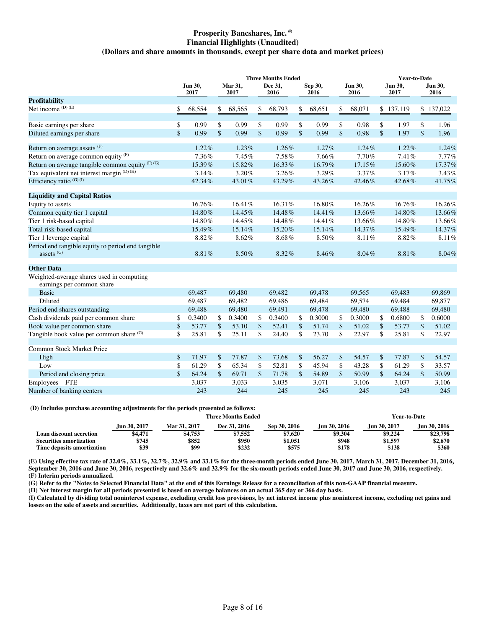### **Prosperity Bancshares, Inc. ® Financial Highlights (Unaudited) (Dollars and share amounts in thousands, except per share data and market prices)**

|                                                                            | <b>Three Months Ended</b> |                 |                      |                 |               |                 | <b>Year-to-Date</b> |                 |               |                 |               |                 |                    |                 |
|----------------------------------------------------------------------------|---------------------------|-----------------|----------------------|-----------------|---------------|-----------------|---------------------|-----------------|---------------|-----------------|---------------|-----------------|--------------------|-----------------|
|                                                                            |                           | Jun 30,<br>2017 |                      | Mar 31,<br>2017 |               | Dec 31,<br>2016 |                     | Sep 30,<br>2016 |               | Jun 30,<br>2016 |               | Jun 30,<br>2017 |                    | Jun 30,<br>2016 |
| <b>Profitability</b>                                                       |                           |                 |                      |                 |               |                 |                     |                 |               |                 |               |                 |                    |                 |
| Net income (D) (E)                                                         | \$                        | 68,554          | \$                   | 68,565          | \$            | 68,793          | \$                  | 68,651          | \$            | 68,071          |               | \$137,119       |                    | \$137,022       |
| Basic earnings per share                                                   | \$                        | 0.99            | \$                   | 0.99            | \$            | 0.99            | \$                  | 0.99            | \$            | 0.98            | \$            | 1.97            | \$                 | 1.96            |
| Diluted earnings per share                                                 | $\mathbb{S}$              | 0.99            | $\mathsf{\$}$        | 0.99            | $\mathsf{\$}$ | 0.99            | $\mathsf{\$}$       | 0.99            | $\mathsf{\$}$ | 0.98            | $\mathsf{\$}$ | 1.97            | $\mathbf{\hat{S}}$ | 1.96            |
| Return on average assets <sup>(F)</sup>                                    |                           | $1.22\%$        |                      | 1.23%           |               | $1.26\%$        |                     | 1.27%           |               | 1.24%           |               | 1.22%           |                    | 1.24%           |
| Return on average common equity $(F)$                                      |                           | 7.36%           |                      | 7.45%           |               | 7.58%           |                     | 7.66%           |               | 7.70%           |               | 7.41%           |                    | 7.77%           |
| Return on average tangible common equity (F) (G)                           |                           | 15.39%          |                      | 15.82%          |               | 16.33%          |                     | 16.79%          |               | 17.15%          |               | 15.60%          |                    | 17.37%          |
| Tax equivalent net interest margin (D) (H)                                 |                           | 3.14%           |                      | 3.20%           |               | 3.26%           |                     | 3.29%           |               | 3.37%           |               | 3.17%           |                    | 3.43%           |
| Efficiency ratio <sup>(G)(I)</sup>                                         |                           | 42.34%          |                      | 43.01%          |               | 43.29%          |                     | 43.26%          |               | 42.46%          |               | 42.68%          |                    | 41.75%          |
| <b>Liquidity and Capital Ratios</b>                                        |                           |                 |                      |                 |               |                 |                     |                 |               |                 |               |                 |                    |                 |
| Equity to assets                                                           |                           | 16.76%          |                      | 16.41%          |               | 16.31%          |                     | 16.80%          |               | 16.26%          |               | 16.76%          |                    | 16.26%          |
| Common equity tier 1 capital                                               |                           | 14.80%          |                      | 14.45%          |               | 14.48%          |                     | 14.41%          |               | 13.66%          |               | 14.80%          |                    | 13.66%          |
| Tier 1 risk-based capital                                                  |                           | 14.80%          |                      | 14.45%          |               | 14.48%          |                     | 14.41%          |               | 13.66%          |               | 14.80%          |                    | 13.66%          |
| Total risk-based capital                                                   |                           | 15.49%          |                      | 15.14%          |               | 15.20%          |                     | 15.14%          |               | 14.37%          |               | 15.49%          |                    | 14.37%          |
| Tier 1 leverage capital                                                    |                           | 8.82%           |                      | 8.62%           |               | 8.68%           |                     | 8.50%           |               | 8.11%           |               | 8.82%           |                    | 8.11%           |
| Period end tangible equity to period end tangible<br>assets <sup>(G)</sup> |                           | 8.81%           |                      | 8.50%           |               | 8.32%           |                     | 8.46%           |               | 8.04%           |               | 8.81%           |                    | $8.04\%$        |
|                                                                            |                           |                 |                      |                 |               |                 |                     |                 |               |                 |               |                 |                    |                 |
| <b>Other Data</b>                                                          |                           |                 |                      |                 |               |                 |                     |                 |               |                 |               |                 |                    |                 |
| Weighted-average shares used in computing<br>earnings per common share     |                           |                 |                      |                 |               |                 |                     |                 |               |                 |               |                 |                    |                 |
| <b>Basic</b>                                                               |                           | 69,487          |                      | 69,480          |               | 69,482          |                     | 69,478          |               | 69,565          |               | 69,483          |                    | 69.869          |
| Diluted                                                                    |                           | 69,487          |                      | 69,482          |               | 69,486          |                     | 69,484          |               | 69,574          |               | 69,484          |                    | 69,877          |
| Period end shares outstanding                                              |                           | 69,488          |                      | 69,480          |               | 69,491          |                     | 69,478          |               | 69,480          |               | 69,488          |                    | 69,480          |
| Cash dividends paid per common share                                       | \$                        | 0.3400          | \$                   | 0.3400          | \$            | 0.3400          | \$                  | 0.3000          | \$            | 0.3000          | \$            | 0.6800          | \$                 | 0.6000          |
| Book value per common share                                                | \$                        | 53.77           | $\mathbf{s}$         | 53.10           | \$            | 52.41           | $\mathcal{S}$       | 51.74           | \$            | 51.02           | \$            | 53.77           | \$                 | 51.02           |
| Tangible book value per common share <sup>(G)</sup>                        | \$                        | 25.81           | \$                   | 25.11           | \$            | 24.40           | \$                  | 23.70           | \$            | 22.97           | \$            | 25.81           | \$                 | 22.97           |
| <b>Common Stock Market Price</b>                                           |                           |                 |                      |                 |               |                 |                     |                 |               |                 |               |                 |                    |                 |
| High                                                                       | \$                        | 71.97           | \$                   | 77.87           | \$            | 73.68           | \$                  | 56.27           | \$            | 54.57           | \$            | 77.87           | $\mathcal{S}$      | 54.57           |
| Low                                                                        | \$                        | 61.29           | $\mathbf S$          | 65.34           | \$            | 52.81           | \$                  | 45.94           | \$            | 43.28           | \$            | 61.29           | \$                 | 33.57           |
| Period end closing price                                                   | \$                        | 64.24           | $\sqrt{\frac{2}{5}}$ | 69.71           | \$            | 71.78           | $\mathsf{\$}$       | 54.89           | \$            | 50.99           | $\mathsf{\$}$ | 64.24           | \$                 | 50.99           |
| Employees - FTE                                                            |                           | 3,037           |                      | 3,033           |               | 3,035           |                     | 3,071           |               | 3,106           |               | 3,037           |                    | 3,106           |
| Number of banking centers                                                  |                           | 243             |                      | 244             |               | 245             |                     | 245             |               | 245             |               | 243             |                    | 245             |

### **(D) Includes purchase accounting adjustments for the periods presented as follows:**

|                                |              | <b>Three Months Ended</b> | Year-to-Date |              |              |              |              |
|--------------------------------|--------------|---------------------------|--------------|--------------|--------------|--------------|--------------|
|                                | Jun 30, 2017 | Mar 31, 2017              | Dec 31, 2016 | Sep 30, 2016 | Jun 30, 2016 | Jun 30. 2017 | Jun 30, 2016 |
| Loan discount accretion        | \$4,471      | \$4,753                   | \$7.552      | \$7.620      | \$9,304      | \$9,224      | \$23,798     |
| <b>Securities amortization</b> | \$745        | \$852                     | \$950        | \$1,051      | \$948        | \$1,597      | \$2,670      |
| Time deposits amortization     | \$39         | \$99                      | \$232        | \$575        | \$178        | \$138        | \$360        |

**(E) Using effective tax rate of 32.0%, 33.1%, 32.7%, 32.9% and 33.1% for the three-month periods ended June 30, 2017, March 31, 2017, December 31, 2016, September 30, 2016 and June 30, 2016, respectively and 32.6% and 32.9% for the six-month periods ended June 30, 2017 and June 30, 2016, respectively. (F) Interim periods annualized.** 

**(G) Refer to the "Notes to Selected Financial Data" at the end of this Earnings Release for a reconciliation of this non-GAAP financial measure.** 

**(H) Net interest margin for all periods presented is based on average balances on an actual 365 day or 366 day basis.** 

**(I) Calculated by dividing total noninterest expense, excluding credit loss provisions, by net interest income plus noninterest income, excluding net gains and losses on the sale of assets and securities. Additionally, taxes are not part of this calculation.**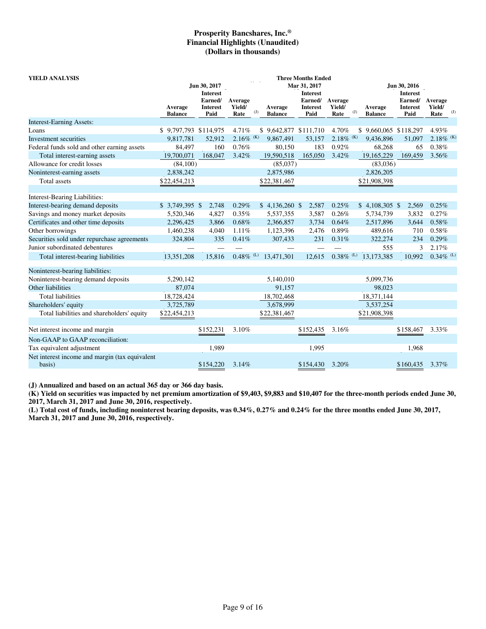| YIELD ANALYSIS<br><b>Three Months Ended</b>              |                           |                                                       |                           |     |                           |                                                       |                           |     |                           |                                                       |                                           |
|----------------------------------------------------------|---------------------------|-------------------------------------------------------|---------------------------|-----|---------------------------|-------------------------------------------------------|---------------------------|-----|---------------------------|-------------------------------------------------------|-------------------------------------------|
|                                                          |                           | Jun 30, 2017                                          |                           |     |                           | Mar 31, 2017                                          |                           |     |                           | Jun 30, 2016                                          |                                           |
|                                                          | Average<br><b>Balance</b> | <b>Interest</b><br>Earned/<br><b>Interest</b><br>Paid | Average<br>Yield/<br>Rate | (J) | Average<br><b>Balance</b> | <b>Interest</b><br>Earned/<br><b>Interest</b><br>Paid | Average<br>Yield/<br>Rate | (J) | Average<br><b>Balance</b> | <b>Interest</b><br>Earned/<br><b>Interest</b><br>Paid | Average<br>Yield/<br>$_{\rm (J)}$<br>Rate |
| <b>Interest-Earning Assets:</b>                          |                           |                                                       |                           |     |                           |                                                       |                           |     |                           |                                                       |                                           |
| Loans                                                    | \$9,797,793 \$114,975     |                                                       | 4.71%                     |     |                           | \$9,642,877 \$111,710                                 | 4.70%                     |     | \$9,660,065 \$118,297     |                                                       | 4.93%                                     |
| Investment securities                                    | 9,817,781                 | 52,912                                                | 2.16% $(K)$               |     | 9,867,491                 | 53,157                                                | 2.18% $(K)$               |     | 9,436,896                 | 51,097                                                | 2.18% $(K)$                               |
| Federal funds sold and other earning assets              | 84,497                    | 160                                                   | 0.76%                     |     | 80,150                    | 183                                                   | 0.92%                     |     | 68,268                    | 65                                                    | 0.38%                                     |
| Total interest-earning assets                            | 19,700,071                | 168,047                                               | 3.42%                     |     | 19,590,518                | 165,050                                               | 3.42%                     |     | 19,165,229                | 169,459                                               | 3.56%                                     |
| Allowance for credit losses                              | (84,100)                  |                                                       |                           |     | (85,037)                  |                                                       |                           |     | (83,036)                  |                                                       |                                           |
| Noninterest-earning assets                               | 2,838,242                 |                                                       |                           |     | 2,875,986                 |                                                       |                           |     | 2,826,205                 |                                                       |                                           |
| Total assets                                             | \$22,454,213              |                                                       |                           |     | \$22,381,467              |                                                       |                           |     | \$21,908,398              |                                                       |                                           |
|                                                          |                           |                                                       |                           |     |                           |                                                       |                           |     |                           |                                                       |                                           |
| Interest-Bearing Liabilities:                            |                           |                                                       |                           |     |                           |                                                       |                           |     |                           |                                                       |                                           |
| Interest-bearing demand deposits                         | $$3,749,395$ \$           | 2,748                                                 | 0.29%                     |     | $$4,136,260$ \$           | 2,587                                                 | 0.25%                     |     | $$4,108,305$ \$           | 2,569                                                 | 0.25%                                     |
| Savings and money market deposits                        | 5,520,346                 | 4,827                                                 | 0.35%                     |     | 5,537,355                 | 3,587                                                 | 0.26%                     |     | 5,734,739                 | 3,832                                                 | 0.27%                                     |
| Certificates and other time deposits                     | 2,296,425                 | 3,866                                                 | 0.68%                     |     | 2,366,857                 | 3,734                                                 | 0.64%                     |     | 2,517,896                 | 3,644                                                 | 0.58%                                     |
| Other borrowings                                         | 1,460,238                 | 4,040                                                 | 1.11%                     |     | 1,123,396                 | 2,476                                                 | 0.89%                     |     | 489,616                   | 710                                                   | 0.58%                                     |
| Securities sold under repurchase agreements              | 324,804                   | 335                                                   | 0.41%                     |     | 307,433                   | 231                                                   | 0.31%                     |     | 322,274                   | 234                                                   | 0.29%                                     |
| Junior subordinated debentures                           |                           |                                                       |                           |     |                           |                                                       |                           |     | 555                       | 3                                                     | 2.17%                                     |
| Total interest-bearing liabilities                       | 13,351,208                | 15,816                                                | $0.48\%$ <sup>(L)</sup>   |     | 13,471,301                | 12,615                                                | $0.38\%$ <sup>(L)</sup>   |     | 13,173,385                | 10,992                                                | $0.34\%$ <sup>(L)</sup>                   |
| Noninterest-bearing liabilities:                         |                           |                                                       |                           |     |                           |                                                       |                           |     |                           |                                                       |                                           |
| Noninterest-bearing demand deposits                      | 5,290,142                 |                                                       |                           |     | 5,140,010                 |                                                       |                           |     | 5,099,736                 |                                                       |                                           |
| Other liabilities                                        | 87,074                    |                                                       |                           |     | 91.157                    |                                                       |                           |     | 98,023                    |                                                       |                                           |
| <b>Total liabilities</b>                                 | 18,728,424                |                                                       |                           |     | 18,702,468                |                                                       |                           |     | 18,371,144                |                                                       |                                           |
| Shareholders' equity                                     | 3,725,789                 |                                                       |                           |     | 3,678,999                 |                                                       |                           |     | 3,537,254                 |                                                       |                                           |
| Total liabilities and shareholders' equity               | \$22,454,213              |                                                       |                           |     | \$22,381,467              |                                                       |                           |     | \$21,908,398              |                                                       |                                           |
| Net interest income and margin                           |                           | \$152,231                                             | 3.10%                     |     |                           | \$152,435                                             | 3.16%                     |     |                           | \$158,467                                             | $3.33\%$                                  |
| Non-GAAP to GAAP reconciliation:                         |                           |                                                       |                           |     |                           |                                                       |                           |     |                           |                                                       |                                           |
| Tax equivalent adjustment                                |                           | 1,989                                                 |                           |     |                           | 1,995                                                 |                           |     |                           | 1,968                                                 |                                           |
| Net interest income and margin (tax equivalent<br>basis) |                           | \$154,220                                             | 3.14%                     |     |                           | \$154,430                                             | 3.20%                     |     |                           | \$160,435                                             | $3.37\%$                                  |

**(J) Annualized and based on an actual 365 day or 366 day basis.** 

**(K) Yield on securities was impacted by net premium amortization of \$9,403, \$9,883 and \$10,407 for the three-month periods ended June 30, 2017, March 31, 2017 and June 30, 2016, respectively.** 

**(L) Total cost of funds, including noninterest bearing deposits, was 0.34%, 0.27% and 0.24% for the three months ended June 30, 2017, March 31, 2017 and June 30, 2016, respectively.**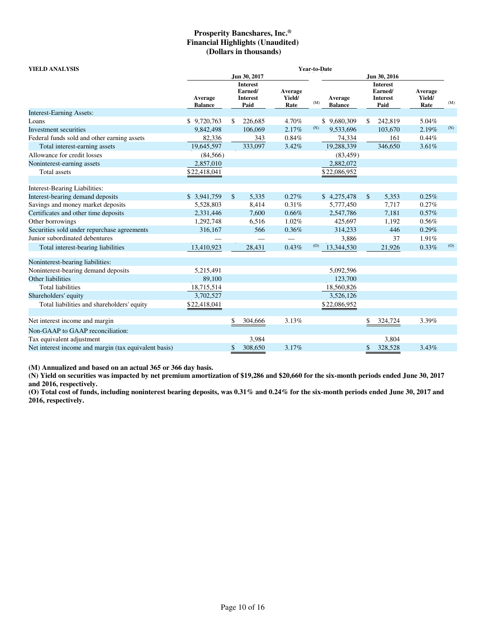| <b>YIELD ANALYSIS</b>                                 | <b>Year-to-Date</b>       |              |                                                       |                           |     |                           |              |                                                |                           |     |  |  |
|-------------------------------------------------------|---------------------------|--------------|-------------------------------------------------------|---------------------------|-----|---------------------------|--------------|------------------------------------------------|---------------------------|-----|--|--|
|                                                       |                           |              | Jun 30, 2017                                          |                           |     |                           |              | Jun 30, 2016                                   |                           |     |  |  |
|                                                       | Average<br><b>Balance</b> |              | <b>Interest</b><br>Earned/<br><b>Interest</b><br>Paid | Average<br>Yield/<br>Rate | (M) | Average<br><b>Balance</b> |              | <b>Interest</b><br>Earned/<br>Interest<br>Paid | Average<br>Yield/<br>Rate | (M) |  |  |
| <b>Interest-Earning Assets:</b>                       |                           |              |                                                       |                           |     |                           |              |                                                |                           |     |  |  |
| Loans                                                 | \$9,720,763               | \$           | 226,685                                               | 4.70%                     |     | \$9,680,309               | \$           | 242,819                                        | 5.04%                     |     |  |  |
| Investment securities                                 | 9.842.498                 |              | 106,069                                               | 2.17%                     | (N) | 9,533,696                 |              | 103,670                                        | 2.19%                     | (N) |  |  |
| Federal funds sold and other earning assets           | 82,336                    |              | 343                                                   | 0.84%                     |     | 74,334                    |              | 161                                            | 0.44%                     |     |  |  |
| Total interest-earning assets                         | 19.645.597                |              | 333,097                                               | 3.42%                     |     | 19,288,339                |              | 346,650                                        | 3.61%                     |     |  |  |
| Allowance for credit losses                           | (84, 566)                 |              |                                                       |                           |     | (83, 459)                 |              |                                                |                           |     |  |  |
| Noninterest-earning assets                            | 2,857,010                 |              |                                                       |                           |     | 2,882,072                 |              |                                                |                           |     |  |  |
| Total assets                                          | \$22,418,041              |              |                                                       |                           |     | \$22,086,952              |              |                                                |                           |     |  |  |
|                                                       |                           |              |                                                       |                           |     |                           |              |                                                |                           |     |  |  |
| Interest-Bearing Liabilities:                         |                           |              |                                                       |                           |     |                           |              |                                                |                           |     |  |  |
| Interest-bearing demand deposits                      | \$ 3,941,759              | $\mathbb{S}$ | 5,335                                                 | $0.27\%$                  |     | \$4,275,478               | $\mathbb{S}$ | 5,353                                          | 0.25%                     |     |  |  |
| Savings and money market deposits                     | 5,528,803                 |              | 8,414                                                 | 0.31%                     |     | 5,777,450                 |              | 7,717                                          | 0.27%                     |     |  |  |
| Certificates and other time deposits                  | 2,331,446                 |              | 7.600                                                 | 0.66%                     |     | 2,547,786                 |              | 7,181                                          | 0.57%                     |     |  |  |
| Other borrowings                                      | 1,292,748                 |              | 6,516                                                 | $1.02\%$                  |     | 425,697                   |              | 1,192                                          | 0.56%                     |     |  |  |
| Securities sold under repurchase agreements           | 316,167                   |              | 566                                                   | 0.36%                     |     | 314,233                   |              | 446                                            | 0.29%                     |     |  |  |
| Junior subordinated debentures                        |                           |              |                                                       |                           |     | 3,886                     |              | 37                                             | 1.91%                     |     |  |  |
| Total interest-bearing liabilities                    | 13,410,923                |              | 28,431                                                | 0.43%                     | (O) | 13,344,530                |              | 21,926                                         | 0.33%                     | (0) |  |  |
| Noninterest-bearing liabilities:                      |                           |              |                                                       |                           |     |                           |              |                                                |                           |     |  |  |
| Noninterest-bearing demand deposits                   | 5,215,491                 |              |                                                       |                           |     | 5,092,596                 |              |                                                |                           |     |  |  |
| Other liabilities                                     | 89,100                    |              |                                                       |                           |     | 123,700                   |              |                                                |                           |     |  |  |
| <b>Total liabilities</b>                              | 18,715,514                |              |                                                       |                           |     | 18,560,826                |              |                                                |                           |     |  |  |
| Shareholders' equity                                  | 3,702,527                 |              |                                                       |                           |     | 3,526,126                 |              |                                                |                           |     |  |  |
| Total liabilities and shareholders' equity            | \$22,418,041              |              |                                                       |                           |     | \$22,086,952              |              |                                                |                           |     |  |  |
| Net interest income and margin                        |                           | \$           | 304,666                                               | 3.13%                     |     |                           | \$           | 324,724                                        | 3.39%                     |     |  |  |
| Non-GAAP to GAAP reconciliation:                      |                           |              |                                                       |                           |     |                           |              |                                                |                           |     |  |  |
| Tax equivalent adjustment                             |                           |              | 3,984                                                 |                           |     |                           |              | 3,804                                          |                           |     |  |  |
| Net interest income and margin (tax equivalent basis) |                           | \$           | 308,650                                               | 3.17%                     |     |                           | \$           | 328,528                                        | 3.43%                     |     |  |  |

**(M) Annualized and based on an actual 365 or 366 day basis.** 

**(N) Yield on securities was impacted by net premium amortization of \$19,286 and \$20,660 for the six-month periods ended June 30, 2017 and 2016, respectively.** 

**(O) Total cost of funds, including noninterest bearing deposits, was 0.31% and 0.24% for the six-month periods ended June 30, 2017 and 2016, respectively.**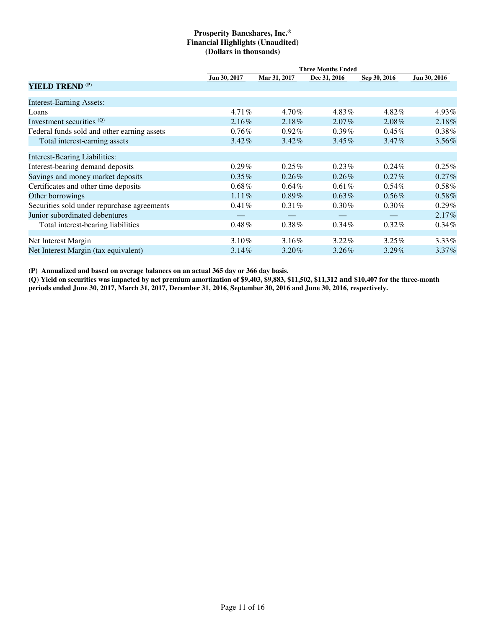|                                             |              |              | <b>Three Months Ended</b> |              |              |
|---------------------------------------------|--------------|--------------|---------------------------|--------------|--------------|
|                                             | Jun 30, 2017 | Mar 31, 2017 | Dec 31, 2016              | Sep 30, 2016 | Jun 30, 2016 |
| YIELD TREND <sup>(P)</sup>                  |              |              |                           |              |              |
| <b>Interest-Earning Assets:</b>             |              |              |                           |              |              |
| Loans                                       | $4.71\%$     | 4.70%        | $4.83\%$                  | 4.82%        | $4.93\%$     |
| Investment securities <sup>(Q)</sup>        | $2.16\%$     | 2.18%        | $2.07\%$                  | $2.08\%$     | $2.18\%$     |
| Federal funds sold and other earning assets | $0.76\%$     | $0.92\%$     | $0.39\%$                  | $0.45\%$     | $0.38\%$     |
| Total interest-earning assets               | $3.42\%$     | $3.42\%$     | $3.45\%$                  | $3.47\%$     | $3.56\%$     |
| <b>Interest-Bearing Liabilities:</b>        |              |              |                           |              |              |
| Interest-bearing demand deposits            | $0.29\%$     | $0.25\%$     | $0.23\%$                  | $0.24\%$     | $0.25\%$     |
| Savings and money market deposits           | $0.35\%$     | $0.26\%$     | $0.26\%$                  | $0.27\%$     | $0.27\%$     |
| Certificates and other time deposits        | $0.68\%$     | $0.64\%$     | $0.61\%$                  | $0.54\%$     | $0.58\%$     |
| Other borrowings                            | $1.11\%$     | $0.89\%$     | $0.63\%$                  | $0.56\%$     | $0.58\%$     |
| Securities sold under repurchase agreements | $0.41\%$     | 0.31%        | $0.30\%$                  | $0.30\%$     | $0.29\%$     |
| Junior subordinated debentures              |              |              |                           |              | $2.17\%$     |
| Total interest-bearing liabilities          | $0.48\%$     | $0.38\%$     | $0.34\%$                  | $0.32\%$     | $0.34\%$     |
| Net Interest Margin                         | $3.10\%$     | $3.16\%$     | $3.22\%$                  | $3.25\%$     | $3.33\%$     |
| Net Interest Margin (tax equivalent)        | $3.14\%$     | $3.20\%$     | $3.26\%$                  | $3.29\%$     | $3.37\%$     |

**(P) Annualized and based on average balances on an actual 365 day or 366 day basis.** 

**(Q) Yield on securities was impacted by net premium amortization of \$9,403, \$9,883, \$11,502, \$11,312 and \$10,407 for the three-month periods ended June 30, 2017, March 31, 2017, December 31, 2016, September 30, 2016 and June 30, 2016, respectively.**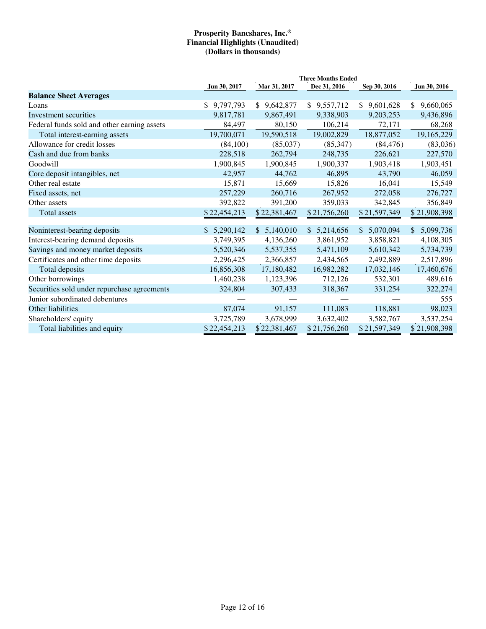|                                             | <b>Three Months Ended</b>   |                 |                             |                             |                 |  |  |  |  |
|---------------------------------------------|-----------------------------|-----------------|-----------------------------|-----------------------------|-----------------|--|--|--|--|
|                                             | Jun 30, 2017                | Mar 31, 2017    | Dec 31, 2016                | Sep 30, 2016                | Jun 30, 2016    |  |  |  |  |
| <b>Balance Sheet Averages</b>               |                             |                 |                             |                             |                 |  |  |  |  |
| Loans                                       | \$9,797,793                 | 9,642,877<br>S. | 9,557,712<br>\$             | 9,601,628<br>\$             | 9,660,065<br>\$ |  |  |  |  |
| Investment securities                       | 9,817,781                   | 9,867,491       | 9,338,903                   | 9,203,253                   | 9,436,896       |  |  |  |  |
| Federal funds sold and other earning assets | 84,497                      | 80,150          | 106,214                     | 72,171                      | 68,268          |  |  |  |  |
| Total interest-earning assets               | 19,700,071                  | 19,590,518      | 19,002,829                  | 18,877,052                  | 19,165,229      |  |  |  |  |
| Allowance for credit losses                 | (84,100)                    | (85,037)        | (85,347)                    | (84, 476)                   | (83,036)        |  |  |  |  |
| Cash and due from banks                     | 228,518                     | 262,794         | 248,735                     | 226,621                     | 227,570         |  |  |  |  |
| Goodwill                                    | 1,900,845                   | 1,900,845       | 1,900,337                   | 1,903,418                   | 1,903,451       |  |  |  |  |
| Core deposit intangibles, net               | 42,957                      | 44,762          | 46,895                      | 43,790                      | 46,059          |  |  |  |  |
| Other real estate                           | 15,871                      | 15,669          | 15,826                      | 16,041                      | 15,549          |  |  |  |  |
| Fixed assets, net                           | 257,229                     | 260,716         | 267,952                     | 272,058                     | 276,727         |  |  |  |  |
| Other assets                                | 392,822                     | 391,200         | 359,033                     | 342,845                     | 356,849         |  |  |  |  |
| Total assets                                | \$22,454,213                | \$22,381,467    | \$21,756,260                | \$21,597,349                | \$21,908,398    |  |  |  |  |
|                                             |                             |                 |                             |                             |                 |  |  |  |  |
| Noninterest-bearing deposits                | 5,290,142<br>$\mathbb{S}^-$ | \$5,140,010     | 5,214,656<br>$\mathbb{S}^-$ | 5,070,094<br>$\mathbb{S}^-$ | 5,099,736<br>S. |  |  |  |  |
| Interest-bearing demand deposits            | 3,749,395                   | 4,136,260       | 3,861,952                   | 3,858,821                   | 4,108,305       |  |  |  |  |
| Savings and money market deposits           | 5,520,346                   | 5,537,355       | 5,471,109                   | 5,610,342                   | 5,734,739       |  |  |  |  |
| Certificates and other time deposits        | 2,296,425                   | 2,366,857       | 2,434,565                   | 2,492,889                   | 2,517,896       |  |  |  |  |
| Total deposits                              | 16,856,308                  | 17,180,482      | 16,982,282                  | 17,032,146                  | 17,460,676      |  |  |  |  |
| Other borrowings                            | 1,460,238                   | 1,123,396       | 712,126                     | 532,301                     | 489,616         |  |  |  |  |
| Securities sold under repurchase agreements | 324,804                     | 307,433         | 318,367                     | 331,254                     | 322,274         |  |  |  |  |
| Junior subordinated debentures              |                             |                 |                             |                             | 555             |  |  |  |  |
| Other liabilities                           | 87,074                      | 91,157          | 111,083                     | 118,881                     | 98,023          |  |  |  |  |
| Shareholders' equity                        | 3,725,789                   | 3,678,999       | 3,632,402                   | 3,582,767                   | 3,537,254       |  |  |  |  |
| Total liabilities and equity                | \$22,454,213                | \$22,381,467    | \$21,756,260                | \$21,597,349                | \$21,908,398    |  |  |  |  |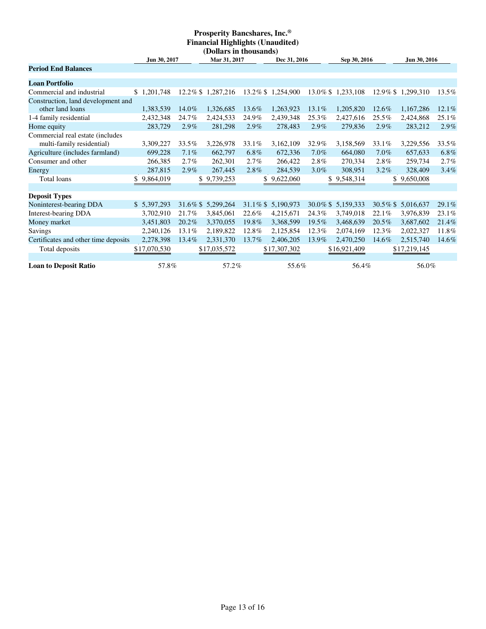|                                      | <b>Prosperity Bancshares, Inc.<sup>®</sup></b><br><b>Financial Highlights (Unaudited)</b><br>(Dollars in thousands) |         |                    |         |                    |         |                    |          |                    |          |  |  |  |  |
|--------------------------------------|---------------------------------------------------------------------------------------------------------------------|---------|--------------------|---------|--------------------|---------|--------------------|----------|--------------------|----------|--|--|--|--|
|                                      | Jun 30, 2017                                                                                                        |         | Mar 31, 2017       |         | Dec 31, 2016       |         | Sep 30, 2016       |          | Jun 30, 2016       |          |  |  |  |  |
| <b>Period End Balances</b>           |                                                                                                                     |         |                    |         |                    |         |                    |          |                    |          |  |  |  |  |
| <b>Loan Portfolio</b>                |                                                                                                                     |         |                    |         |                    |         |                    |          |                    |          |  |  |  |  |
| Commercial and industrial            | \$1,201,748                                                                                                         |         | 12.2% \$1,287,216  |         | 13.2% \$1,254,900  |         | 13.0% \$ 1,233,108 |          | 12.9% \$1,299,310  | $13.5\%$ |  |  |  |  |
| Construction, land development and   |                                                                                                                     |         |                    |         |                    |         |                    |          |                    |          |  |  |  |  |
| other land loans                     | 1,383,539                                                                                                           | 14.0%   | 1,326,685          | 13.6%   | 1,263,923          | 13.1%   | 1,205,820          | $12.6\%$ | 1,167,286          | 12.1%    |  |  |  |  |
| 1-4 family residential               | 2,432,348                                                                                                           | 24.7%   | 2,424,533          | 24.9%   | 2,439,348          | 25.3%   | 2,427,616          | 25.5%    | 2,424,868          | 25.1%    |  |  |  |  |
| Home equity                          | 283,729                                                                                                             | 2.9%    | 281,298            | $2.9\%$ | 278,483            | $2.9\%$ | 279,836            | $2.9\%$  | 283,212            | 2.9%     |  |  |  |  |
| Commercial real estate (includes     |                                                                                                                     |         |                    |         |                    |         |                    |          |                    |          |  |  |  |  |
| multi-family residential)            | 3,309,227                                                                                                           | 33.5%   | 3,226,978          | 33.1%   | 3,162,109          | 32.9%   | 3,158,569          | 33.1%    | 3,229,556          | 33.5%    |  |  |  |  |
| Agriculture (includes farmland)      | 699,228                                                                                                             | 7.1%    | 662,797            | $6.8\%$ | 672,336            | $7.0\%$ | 664,080            | $7.0\%$  | 657,633            | $6.8\%$  |  |  |  |  |
| Consumer and other                   | 266,385                                                                                                             | 2.7%    | 262,301            | 2.7%    | 266,422            | 2.8%    | 270,334            | 2.8%     | 259,734            | 2.7%     |  |  |  |  |
| Energy                               | 287,815                                                                                                             | $2.9\%$ | 267,445            | $2.8\%$ | 284,539            | $3.0\%$ | 308,951            | 3.2%     | 328,409            | 3.4%     |  |  |  |  |
| Total loans                          | \$9,864,019                                                                                                         |         | 9,739,253          |         | \$9,622,060        |         | \$9,548,314        |          | 9,650,008          |          |  |  |  |  |
|                                      |                                                                                                                     |         |                    |         |                    |         |                    |          |                    |          |  |  |  |  |
| <b>Deposit Types</b>                 |                                                                                                                     |         |                    |         |                    |         |                    |          |                    |          |  |  |  |  |
| Noninterest-bearing DDA              | \$ 5,397,293                                                                                                        |         | 31.6% \$ 5,299,264 |         | 31.1% \$ 5,190,973 |         | 30.0% \$ 5,159,333 |          | 30.5% \$ 5,016,637 | 29.1%    |  |  |  |  |
| Interest-bearing DDA                 | 3,702,910                                                                                                           | 21.7%   | 3,845,061          | 22.6%   | 4,215,671          | 24.3%   | 3,749,018          | 22.1%    | 3,976,839          | 23.1%    |  |  |  |  |
| Money market                         | 3,451,803                                                                                                           | 20.2%   | 3,370,055          | 19.8%   | 3,368,599          | 19.5%   | 3,468,639          | $20.5\%$ | 3,687,602          | 21.4%    |  |  |  |  |
| Savings                              | 2,240,126                                                                                                           | 13.1%   | 2,189,822          | 12.8%   | 2,125,854          | 12.3%   | 2,074,169          | 12.3%    | 2,022,327          | 11.8%    |  |  |  |  |
| Certificates and other time deposits | 2,278,398                                                                                                           | 13.4%   | 2,331,370          | 13.7%   | 2,406,205          | 13.9%   | 2,470,250          | 14.6%    | 2,515,740          | 14.6%    |  |  |  |  |
| Total deposits                       | \$17,070,530                                                                                                        |         | \$17,035,572       |         | \$17,307,302       |         | \$16,921,409       |          | \$17,219,145       |          |  |  |  |  |
|                                      |                                                                                                                     |         |                    |         |                    |         |                    |          |                    |          |  |  |  |  |
| <b>Loan to Deposit Ratio</b>         | 57.8%                                                                                                               |         | 57.2%              |         | 55.6%              |         | 56.4%              |          | 56.0%              |          |  |  |  |  |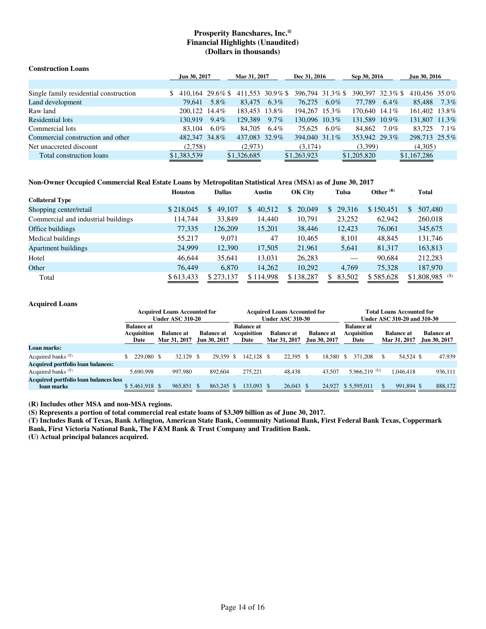| <b>Construction Loans</b>              |                |                  |                  |         |                  |         |                |                  |               |         |
|----------------------------------------|----------------|------------------|------------------|---------|------------------|---------|----------------|------------------|---------------|---------|
|                                        | Jun 30, 2017   |                  | Mar 31, 2017     |         | Dec 31, 2016     |         | Sep 30, 2016   |                  | Jun 30, 2016  |         |
|                                        |                |                  |                  |         |                  |         |                |                  |               |         |
| Single family residential construction |                | 410.164 29.6% \$ | 411,553 30.9% \$ |         | 396.794 31.3% \$ |         |                | 390.397 32.3% \$ | 410.456 35.0% |         |
| Land development                       | 79.641         | 5.8%             | 83.475           | $6.3\%$ | 76.275           | $6.0\%$ | 77.789         | $6.4\%$          | 85.488        | $7.3\%$ |
| Raw land                               | 200,122 14.4\% |                  | 183.453 13.8%    |         | 194.267 15.3%    |         | 170.640 14.1\% |                  | 161.402 13.8% |         |
| Residential lots                       | 130.919        | $9.4\%$          | 129.389          | $9.7\%$ | 130,096 10.3%    |         | 131,589 10.9%  |                  | 131,807 11.3% |         |
| Commercial lots                        | 83,104         | $6.0\%$          | 84.705           | $6.4\%$ | 75.625           | $6.0\%$ | 84.862         | $7.0\%$          | 83.725        | $7.1\%$ |
| Commercial construction and other      | 482,347 34.8%  |                  | 437,083 32.9%    |         | 394,040 31.1%    |         | 353,942 29.3%  |                  | 298,713 25.5% |         |
| Net unaccreted discount                | (2,758)        |                  | (2,973)          |         | (3,174)          |         | (3,399)        |                  | (4,305)       |         |
| Total construction loans               | \$1,383,539    |                  | \$1,326,685      |         | \$1,263,923      |         | \$1,205,820    |                  | \$1,167,286   |         |

### **Non-Owner Occupied Commercial Real Estate Loans by Metropolitan Statistical Area (MSA) as of June 30, 2017**

|                                     | <b>Houston</b> | <b>Dallas</b> | Austin        | OK City       | Tulsa         | Other $(R)$ | <b>Total</b>     |
|-------------------------------------|----------------|---------------|---------------|---------------|---------------|-------------|------------------|
| <b>Collateral Type</b>              |                |               |               |               |               |             |                  |
| Shopping center/retail              | \$218,045      | 49,107<br>\$. | 40,512<br>\$. | 20,049<br>\$. | 29,316<br>\$. | \$150,451   | 507,480<br>S     |
| Commercial and industrial buildings | 114,744        | 33,849        | 14,440        | 10,791        | 23,252        | 62,942      | 260,018          |
| Office buildings                    | 77,335         | 126,209       | 15,201        | 38,446        | 12,423        | 76,061      | 345,675          |
| Medical buildings                   | 55.217         | 9.071         | 47            | 10.465        | 8.101         | 48,845      | 131,746          |
| Apartment buildings                 | 24,999         | 12,390        | 17,505        | 21,961        | 5,641         | 81,317      | 163,813          |
| Hotel                               | 46.644         | 35.641        | 13,031        | 26,283        |               | 90.684      | 212.283          |
| Other                               | 76,449         | 6,870         | 14,262        | 10,292        | 4,769         | 75,328      | 187,970          |
| Total                               | \$613,433      | \$273,137     | \$114,998     | \$138,287     | 83,502        | \$585,628   | $$1,808,985$ (S) |

| <b>Acquired Loans</b>                        |                                                 |                                     |                                   |                                                 |                                     |                                   |                                                 |                                   |                                   |
|----------------------------------------------|-------------------------------------------------|-------------------------------------|-----------------------------------|-------------------------------------------------|-------------------------------------|-----------------------------------|-------------------------------------------------|-----------------------------------|-----------------------------------|
|                                              |                                                 | <b>Acquired Loans Accounted for</b> |                                   |                                                 | <b>Acquired Loans Accounted for</b> |                                   |                                                 | <b>Total Loans Accounted for</b>  |                                   |
|                                              |                                                 | <b>Under ASC 310-20</b>             |                                   |                                                 | <b>Under ASC 310-30</b>             |                                   |                                                 | Under ASC 310-20 and 310-30       |                                   |
|                                              | <b>Balance at</b><br><b>Acquisition</b><br>Date | <b>Balance</b> at<br>Mar 31, 2017   | <b>Balance at</b><br>Jun 30, 2017 | <b>Balance at</b><br><b>Acquisition</b><br>Date | <b>Balance</b> at<br>Mar 31, 2017   | <b>Balance at</b><br>Jun 30, 2017 | <b>Balance at</b><br><b>Acquisition</b><br>Date | <b>Balance</b> at<br>Mar 31, 2017 | <b>Balance at</b><br>Jun 30, 2017 |
| Loan marks:                                  |                                                 |                                     |                                   |                                                 |                                     |                                   |                                                 |                                   |                                   |
| Acquired banks <sup>(T)</sup>                | 229,080 \$                                      | 32.129 \$                           | 29.359 \$                         | 142.128 \$                                      | 22.395 \$                           | 18.580                            | 371.208<br>-S                                   | 54.524 \$                         | 47,939                            |
| <b>Acquired portfolio loan balances:</b>     |                                                 |                                     |                                   |                                                 |                                     |                                   |                                                 |                                   |                                   |
| Acquired banks <sup>(T)</sup>                | 5.690.998                                       | 997,980                             | 892,604                           | 275,221                                         | 48.438                              | 43,507                            | 5.966.219 $^{(U)}$                              | 1,046,418                         | 936,111                           |
| <b>Acquired portfolio loan balances less</b> |                                                 |                                     |                                   |                                                 |                                     |                                   |                                                 |                                   |                                   |
| loan marks                                   | $$5,461,918$ \$                                 | 965,851 \$                          | 863.245 \$                        | 133.093 \$                                      | $26.043$ \$                         |                                   | 24.927 \$5.595.011                              | 991.894 \$                        | 888.172                           |

**(R) Includes other MSA and non-MSA regions.** 

**(S) Represents a portion of total commercial real estate loans of \$3.309 billion as of June 30, 2017.** 

**(T) Includes Bank of Texas, Bank Arlington, American State Bank, Community National Bank, First Federal Bank Texas, Coppermark Bank, First Victoria National Bank, The F&M Bank & Trust Company and Tradition Bank.** 

**(U) Actual principal balances acquired.**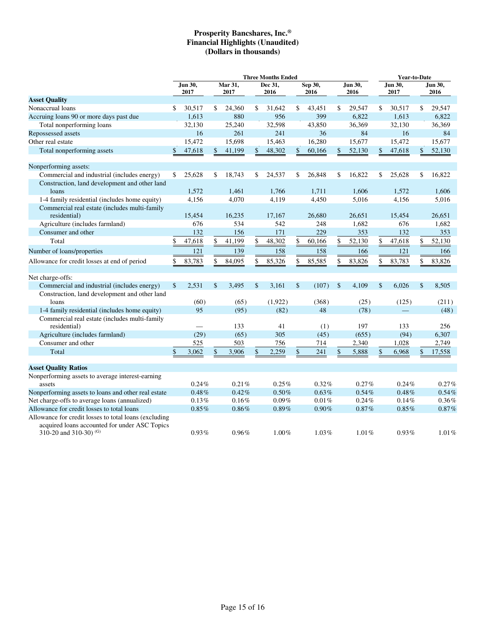|                                                                                                        | <b>Three Months Ended</b> |                          |                 |          |                 |          |                 |          |                 |          |                 | <b>Year-to-Date</b> |                 |        |  |
|--------------------------------------------------------------------------------------------------------|---------------------------|--------------------------|-----------------|----------|-----------------|----------|-----------------|----------|-----------------|----------|-----------------|---------------------|-----------------|--------|--|
|                                                                                                        | Jun 30,<br>2017           |                          | Mar 31,<br>2017 |          | Dec 31,<br>2016 |          | Sep 30,<br>2016 |          | Jun 30,<br>2016 |          | Jun 30,<br>2017 |                     | Jun 30,<br>2016 |        |  |
| <b>Asset Quality</b>                                                                                   |                           |                          |                 |          |                 |          |                 |          |                 |          |                 |                     |                 |        |  |
| Nonaccrual loans                                                                                       | \$                        | 30.517                   | \$              | 24.360   | \$              | 31.642   | \$              | 43.451   | \$              | 29,547   | \$              | 30.517              | \$              | 29.547 |  |
| Accruing loans 90 or more days past due                                                                |                           | 1,613                    |                 | 880      |                 | 956      |                 | 399      |                 | 6,822    |                 | 1,613               |                 | 6,822  |  |
| Total nonperforming loans                                                                              |                           | 32,130                   |                 | 25,240   |                 | 32,598   |                 | 43,850   |                 | 36,369   |                 | 32,130              |                 | 36,369 |  |
| Repossessed assets                                                                                     |                           | 16                       |                 | 261      |                 | 241      |                 | 36       |                 | 84       |                 | 16                  |                 | 84     |  |
| Other real estate                                                                                      |                           | 15,472                   |                 | 15,698   |                 | 15,463   |                 | 16,280   |                 | 15,677   |                 | 15,472              |                 | 15,677 |  |
| Total nonperforming assets                                                                             | \$                        | 47,618                   | $\mathcal{S}$   | 41,199   | \$              | 48,302   | \$              | 60,166   | \$              | 52,130   | \$              | 47,618              | $\mathbf{\$}$   | 52,130 |  |
| Nonperforming assets:                                                                                  |                           |                          |                 |          |                 |          |                 |          |                 |          |                 |                     |                 |        |  |
| Commercial and industrial (includes energy)                                                            | \$                        | 25,628                   | \$              | 18,743   | \$              | 24,537   | \$              | 26,848   | \$              | 16,822   | \$              | 25,628              | \$              | 16,822 |  |
| Construction, land development and other land<br>loans                                                 |                           | 1,572                    |                 | 1,461    |                 | 1,766    |                 | 1,711    |                 | 1,606    |                 | 1,572               |                 | 1,606  |  |
| 1-4 family residential (includes home equity)                                                          |                           | 4,156                    |                 | 4,070    |                 | 4,119    |                 | 4,450    |                 | 5,016    |                 | 4,156               |                 | 5,016  |  |
| Commercial real estate (includes multi-family<br>residential)                                          |                           | 15,454                   |                 | 16,235   |                 | 17,167   |                 | 26,680   |                 | 26,651   |                 | 15,454              |                 | 26,651 |  |
| Agriculture (includes farmland)                                                                        |                           | 676                      |                 | 534      |                 | 542      |                 | 248      |                 | 1,682    |                 | 676                 |                 | 1,682  |  |
| Consumer and other                                                                                     |                           | 132                      |                 | 156      |                 | 171      |                 | 229      |                 | 353      |                 | 132                 |                 | 353    |  |
| Total                                                                                                  | \$                        | 47,618                   | \$              | 41,199   | \$              | 48,302   | \$              | 60,166   | \$              | 52,130   | \$              | 47,618              | \$              | 52,130 |  |
| Number of loans/properties                                                                             |                           |                          |                 | 139      |                 |          |                 | 158      |                 |          |                 |                     |                 |        |  |
|                                                                                                        |                           | 121                      |                 |          |                 | 158      |                 |          |                 | 166      |                 | 121                 |                 | 166    |  |
| Allowance for credit losses at end of period                                                           | \$                        | 83,783                   | \$              | 84,095   | \$              | 85,326   | \$              | 85,585   | \$              | 83,826   | \$              | 83,783              | \$              | 83,826 |  |
| Net charge-offs:                                                                                       |                           |                          |                 |          |                 |          |                 |          |                 |          |                 |                     |                 |        |  |
| Commercial and industrial (includes energy)                                                            | $\mathcal{S}$             | 2,531                    | $\mathsf{\$}$   | 3,495    | \$              | 3,161    | \$              | (107)    | \$              | 4,109    | $\mathcal{S}$   | 6,026               | \$              | 8,505  |  |
| Construction, land development and other land                                                          |                           |                          |                 |          |                 |          |                 |          |                 |          |                 |                     |                 |        |  |
| loans                                                                                                  |                           | (60)                     |                 | (65)     |                 | (1,922)  |                 | (368)    |                 | (25)     |                 | (125)               |                 | (211)  |  |
| 1-4 family residential (includes home equity)                                                          |                           | 95                       |                 | (95)     |                 | (82)     |                 | 48       |                 | (78)     |                 |                     |                 | (48)   |  |
| Commercial real estate (includes multi-family                                                          |                           |                          |                 |          |                 |          |                 |          |                 |          |                 |                     |                 |        |  |
| residential)                                                                                           |                           | $\overline{\phantom{0}}$ |                 | 133      |                 | 41       |                 | (1)      |                 | 197      |                 | 133                 |                 | 256    |  |
| Agriculture (includes farmland)                                                                        |                           | (29)                     |                 | (65)     |                 | 305      |                 | (45)     |                 | (655)    |                 | (94)                |                 | 6,307  |  |
| Consumer and other                                                                                     |                           | 525                      |                 | 503      |                 | 756      |                 | 714      |                 | 2,340    |                 | 1,028               |                 | 2,749  |  |
| Total                                                                                                  | \$                        | 3,062                    | $\mathbb{S}$    | 3,906    |                 | 2,259    | \$              | 241      | \$              | 5,888    | \$              | 6,968               | \$              | 17,558 |  |
| <b>Asset Quality Ratios</b>                                                                            |                           |                          |                 |          |                 |          |                 |          |                 |          |                 |                     |                 |        |  |
| Nonperforming assets to average interest-earning                                                       |                           |                          |                 |          |                 |          |                 |          |                 |          |                 |                     |                 |        |  |
| assets                                                                                                 |                           | 0.24%                    |                 | 0.21%    |                 | 0.25%    |                 | 0.32%    |                 | 0.27%    |                 | 0.24%               |                 | 0.27%  |  |
| Nonperforming assets to loans and other real estate                                                    |                           | 0.48%                    |                 | $0.42\%$ |                 | 0.50%    |                 | $0.63\%$ |                 | $0.54\%$ |                 | $0.48\%$            |                 | 0.54%  |  |
| Net charge-offs to average loans (annualized)                                                          |                           | 0.13%                    |                 | $0.16\%$ |                 | $0.09\%$ |                 | 0.01%    |                 | 0.24%    |                 | 0.14%               |                 | 0.36%  |  |
| Allowance for credit losses to total loans                                                             |                           | 0.85%                    |                 | $0.86\%$ |                 | 0.89%    |                 | $0.90\%$ |                 | 0.87%    |                 | $0.85\%$            |                 | 0.87%  |  |
| Allowance for credit losses to total loans (excluding<br>acquired loans accounted for under ASC Topics |                           |                          |                 |          |                 |          |                 |          |                 |          |                 |                     |                 |        |  |
| 310-20 and 310-30) $(G)$                                                                               |                           | 0.93%                    |                 | $0.96\%$ |                 | $1.00\%$ |                 | $1.03\%$ |                 | 1.01%    |                 | 0.93%               |                 | 1.01%  |  |